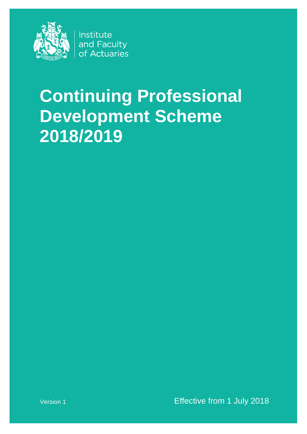

Institute and Faculty of Actuaries

# **Continuing Professional Development Scheme 2018/2019**

Version 1 **Version 1 Version 1 Effective from 1 July 2018**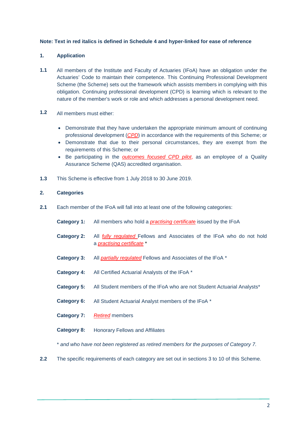#### **Note: Text in red italics is defined in Schedule 4 and hyper-linked for ease of reference**

#### **1. Application**

- **1.1** All members of the Institute and Faculty of Actuaries (IFoA) have an obligation under the Actuaries' Code to maintain their competence. This Continuing Professional Development Scheme (the Scheme) sets out the framework which assists members in complying with this obligation. Continuing professional development (CPD) is learning which is relevant to the nature of the member's work or role and which addresses a personal development need.
- **1.2** All members must either:
	- Demonstrate that they have undertaken the appropriate minimum amount of continuing professional development (*[CPD](#page-18-0)*) in accordance with the requirements of this Scheme; or
	- Demonstrate that due to their personal circumstances, they are exempt from the requirements of this Scheme; or
	- Be participating in the *[outcomes focused CPD pilot](#page-18-1)*, as an employee of a Quality Assurance Scheme (QAS) accredited organisation.
- **1.3** This Scheme is effective from 1 July 2018 to 30 June 2019.

#### **2. Categories**

- **2.1** Each member of the IFoA will fall into at least one of the following categories:
	- **Category 1:** All members who hold a *[practising](#page-18-2) certificat*e issued by the IFoA
	- **Category 2:** All *[fully regulated](#page-18-3)* Fellows and Associates of the IFoA who do not hold a *[practising certificate](#page-18-2)* \*
	- **Category 3:** All *[partially regulated](#page-18-4)* Fellows and Associates of the IFoA \*
	- **Category 4:** All Certified Actuarial Analysts of the IFoA \*
	- **Category 5:** All Student members of the IFoA who are not Student Actuarial Analysts\*
	- **Category 6:** All Student Actuarial Analyst members of the IFoA \*
	- **Category 7:** *[Retired](#page-19-0)* members
	- **Category 8:** Honorary Fellows and Affiliates

\* *and who have not been registered as retired members for the purposes of Category 7.*

**2.2** The specific requirements of each category are set out in sections 3 to 10 of this Scheme.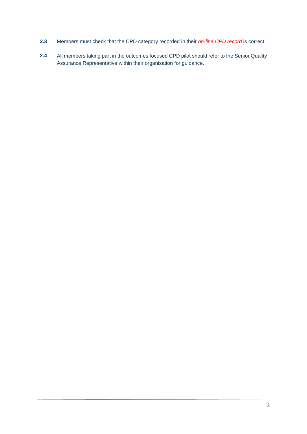- **2.3** Members must check that the CPD category recorded in their *[on-line CPD record](#page-18-5)* is correct.
- **2.4** All members taking part in the outcomes focused CPD pilot should refer to the Senior Quality Assurance Representative within their organisation for guidance.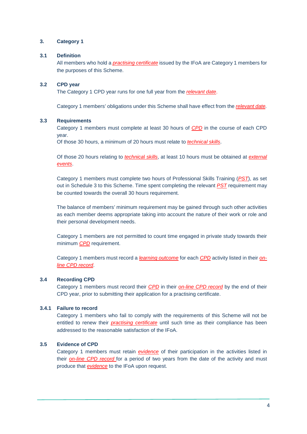#### **3. Category 1**

#### **3.1 Definition**

All members who hold a *[practising certificate](#page-18-2)* issued by the IFoA are Category 1 members for the purposes of this Scheme.

#### **3.2 CPD year**

The Category 1 CPD year runs for one full year from the *[relevant date](#page-19-1)*.

Category 1 members' obligations under this Scheme shall have effect from the *[relevant date.](#page-19-1)*

#### **3.3 Requirements**

Category 1 members must complete at least 30 hours of *[CPD](#page-18-0)* in the course of each CPD year.

Of those 30 hours, a minimum of 20 hours must relate to *[technical skills](#page-19-2)*.

Of those 20 hours relating to *[technica](#page-19-2)*l *skills*, at least 10 hours must be obtained at *[external](#page-18-6)  [events](#page-18-6)*.

Category 1 members must complete two hours of Professional Skills Training (*[PST](#page-18-7)*), as set out in Schedule 3 to this Scheme. Time spent completing the relevant *[PST](#page-18-7)* requirement may be counted towards the overall 30 hours requirement.

The balance of members' minimum requirement may be gained through such other activities as each member deems appropriate taking into account the nature of their work or role and their personal development needs.

Category 1 members are not permitted to count time engaged in private study towards their minimum *[CPD](#page-18-0)* requirement.

Category 1 members must record a *[learning outcome](#page-18-8)* for each *[CPD](#page-18-0)* activity listed in their *[on](#page-18-5)[line CPD record](#page-18-5)*.

#### **3.4 Recording CPD**

Category 1 members must record their *[CPD](#page-18-0)* in their *[on-line CPD record](#page-18-5)* by the end of their CPD year, prior to submitting their application for a practising certificate.

#### **3.4.1 Failure to record**

Category 1 members who fail to comply with the requirements of this Scheme will not be entitled to renew their *[practising certificate](#page-18-2)* until such time as their compliance has been addressed to the reasonable satisfaction of the IFoA.

#### **3.5 Evidence of CPD**

Category 1 members must retain *[evidence](#page-18-9)* of their participation in the activities listed in their *[on-line CPD record](#page-18-5)* for a period of two years from the date of the activity and must produce that *[evidence](#page-18-9)* to the IFoA upon request.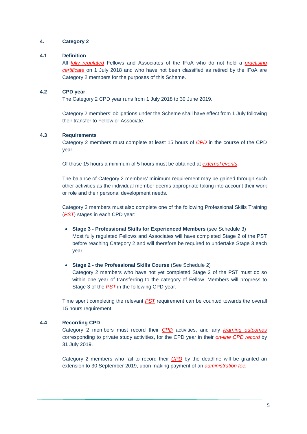#### **4. Category 2**

#### **4.1 Definition**

All *[fully regulated](#page-18-3)* Fellows and Associates of the IFoA who do not hold a *[practising](#page-18-2)  [certificate](#page-18-2)* on 1 July 2018 and who have not been classified as retired by the IFoA are Category 2 members for the purposes of this Scheme.

#### **4.2 CPD year**

The Category 2 CPD year runs from 1 July 2018 to 30 June 2019.

Category 2 members' obligations under the Scheme shall have effect from 1 July following their transfer to Fellow or Associate.

#### **4.3 Requirements**

Category 2 members must complete at least 15 hours of *[CPD](#page-18-0)* in the course of the CPD year.

Of those 15 hours a minimum of 5 hours must be obtained at *[external events](#page-18-6)*.

The balance of Category 2 members' minimum requirement may be gained through such other activities as the individual member deems appropriate taking into account their work or role and their personal development needs.

Category 2 members must also complete one of the following Professional Skills Training (*[PST](#page-18-7)*) stages in each CPD year:

- **Stage 3 - Professional Skills for Experienced Members** (see Schedule 3) Most fully regulated Fellows and Associates will have completed Stage 2 of the PST before reaching Category 2 and will therefore be required to undertake Stage 3 each year.
- **Stage 2 - the Professional Skills Course** (See Schedule 2) Category 2 members who have not yet completed Stage 2 of the PST must do so within one year of transferring to the category of Fellow. Members will progress to Stage 3 of the *[PST](#page-18-7)* in the following CPD year.

Time spent completing the relevant *[PST](#page-18-7)* requirement can be counted towards the overall 15 hours requirement.

#### **4.4 Recording CPD**

Category 2 members must record their *[CPD](#page-18-0)* activities, and any *[learning outcomes](#page-18-8)* corresponding to private study activities, for the CPD year in their *[on-line CPD record](#page-18-5)* by 31 July 2019.

Category 2 members who fail to record their *[CPD](#page-18-0)* by the deadline will be granted an extension to 30 September 2019, upon making payment of an *[administration fee](#page-18-10).*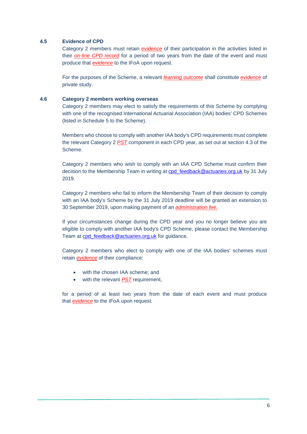#### **4.5 Evidence of CPD**

Category 2 members must retain *[evidence](#page-18-9)* of their participation in the activities listed in their *[on-line CPD record](#page-18-5)* for a period of two years from the date of the event and must produce that *[evidence](#page-18-9)* to the IFoA upon request.

For the purposes of the Scheme, a relevant *[learning outcome](#page-18-8)* shall constitute *[evidence](#page-18-9)* of private study.

#### **4.6 Category 2 members working overseas**

Category 2 members may elect to satisfy the requirements of this Scheme by complying with one of the recognised International Actuarial Association (IAA) bodies' CPD Schemes (listed in Schedule 5 to the Scheme).

Members who choose to comply with another IAA body's CPD requirements must complete the relevant Category 2 *[PST](#page-18-7)* component in each CPD year, as set out at section 4.3 of the Scheme.

Category 2 members who wish to comply with an IAA CPD Scheme must confirm their decision to the Membership Team in writing at [cpd\\_feedback@actuaries.org.uk](mailto:cpd_feedback@actuaries.org.uk?subject=Cat%202%20-%20Decision%20to%20comply%20with%20IAA%20body%20CPD%20scheme) by 31 July 2019.

Category 2 members who fail to inform the Membership Team of their decision to comply with an IAA body's Scheme by the 31 July 2019 deadline will be granted an extension to 30 September 2019, upon making payment of an *[administration fee.](#page-18-10)*

If your circumstances change during the CPD year and you no longer believe you are eligible to comply with another IAA body's CPD Scheme, please contact the Membership Team at cpd feedback@actuaries.org.uk for guidance.

Category 2 members who elect to comply with one of the IAA bodies' schemes must retain *[evidence](#page-18-9)* of their compliance:

- with the chosen IAA scheme; and
- with the relevant *[PST](#page-18-7)* requirement,

for a period of at least two years from the date of each event and must produce that *[evidence](#page-18-9)* to the IFoA upon request.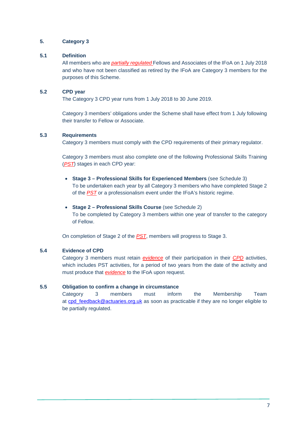#### **5. Category 3**

#### **5.1 Definition**

All members who are *[partially regulated](#page-18-4)* Fellows and Associates of the IFoA on 1 July 2018 and who have not been classified as retired by the IFoA are Category 3 members for the purposes of this Scheme.

#### **5.2 CPD year**

The Category 3 CPD year runs from 1 July 2018 to 30 June 2019.

Category 3 members' obligations under the Scheme shall have effect from 1 July following their transfer to Fellow or Associate.

#### **5.3 Requirements**

Category 3 members must comply with the CPD requirements of their primary regulator.

Category 3 members must also complete one of the following Professional Skills Training (*[PST](#page-18-7)*) stages in each CPD year:

- **Stage 3 – Professional Skills for Experienced Members** (see Schedule 3) To be undertaken each year by all Category 3 members who have completed Stage 2 of the *[PST](#page-18-7)* or a professionalism event under the IFoA's historic regime.
- **Stage 2 – Professional Skills Course** (see Schedule 2) To be completed by Category 3 members within one year of transfer to the category of Fellow.

On completion of Stage 2 of the *[PST](#page-18-7)*, members will progress to Stage 3.

#### **5.4 Evidence of CPD**

Category 3 members must retain *[evidence](#page-18-9)* of their participation in their *[CPD](#page-18-0)* activities, which includes PST activities, for a period of two years from the date of the activity and must produce that *[evidence](#page-18-9)* to the IFoA upon request.

#### **5.5 Obligation to confirm a change in circumstance**

Category 3 members must inform the Membership Team at [cpd\\_feedback@actuaries.org.uk](mailto:cpd_feedback@actuaries.org.uk) as soon as practicable if they are no longer eligible to be partially regulated.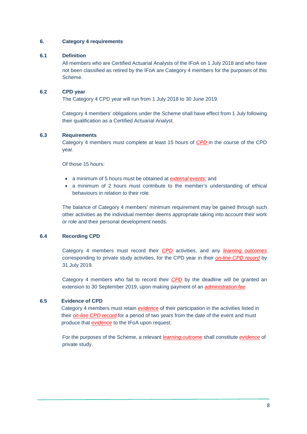#### **6. Category 4 requirements**

#### **6.1 Definition**

All members who are Certified Actuarial Analysts of the IFoA on 1 July 2018 and who have not been classified as retired by the IFoA are Category 4 members for the purposes of this Scheme.

#### **6.2 CPD year**

The Category 4 CPD year will run from 1 July 2018 to 30 June 2019.

Category 4 members' obligations under the Scheme shall have effect from 1 July following their qualification as a Certified Actuarial Analyst.

#### **6.3 Requirements**

Category 4 members must complete at least 15 hours of *[CPD](#page-18-0)* in the course of the CPD year.

Of those 15 hours:

- a minimum of 5 hours must be obtained at *[external events](#page-18-6)*; and
- a minimum of 2 hours must contribute to the member's understanding of ethical behaviours in relation to their role.

The balance of Category 4 members' minimum requirement may be gained through such other activities as the individual member deems appropriate taking into account their work or role and their personal development needs.

### **6.4 Recording CPD**

Category 4 members must record their *[CPD](#page-18-0)* activities, and any *[learning outcomes](#page-18-8)* corresponding to private study activities, for the CPD year in their *[on-line CPD record](#page-18-5)* by 31 July 2019.

Category 4 members who fail to record their *[CPD](#page-18-0)* by the deadline will be granted an extension to 30 September 2019, upon making payment of an *[administration fee](#page-18-10)*

#### **6.5 Evidence of CPD**

Category 4 members must retain *[evidence](#page-18-9)* of their participation in the activities listed in their *[on-line CPD record](#page-18-5)* for a period of two years from the date of the event and must produce that *[evidence](#page-18-9)* to the IFoA upon request.

For the purposes of the Scheme, a relevant *[learning outcome](#page-18-8)* shall constitute *[evidence](#page-18-9)* of private study.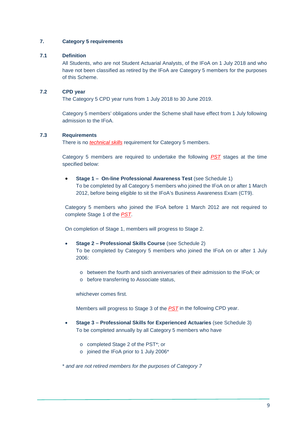#### **7. Category 5 requirements**

#### **7.1 Definition**

All Students, who are not Student Actuarial Analysts, of the IFoA on 1 July 2018 and who have not been classified as retired by the IFoA are Category 5 members for the purposes of this Scheme.

### **7.2 CPD year**

The Category 5 CPD year runs from 1 July 2018 to 30 June 2019.

Category 5 members' obligations under the Scheme shall have effect from 1 July following admission to the IFoA.

#### **7.3 Requirements**

There is no *[technical skills](#page-19-2)* requirement for Category 5 members.

Category 5 members are required to undertake the following *[PST](#page-18-7)* stages at the time specified below:

• **Stage 1 – On-line Professional Awareness Test** (see Schedule 1) To be completed by all Category 5 members who joined the IFoA on or after 1 March 2012, before being eligible to sit the IFoA's Business Awareness Exam (CT9).

Category 5 members who joined the IFoA before 1 March 2012 are not required to complete Stage 1 of the *[PST](#page-18-7)*.

On completion of Stage 1, members will progress to Stage 2.

- **Stage 2 – Professional Skills Course** (see Schedule 2) To be completed by Category 5 members who joined the IFoA on or after 1 July 2006:
	- o between the fourth and sixth anniversaries of their admission to the IFoA; or
	- o before transferring to Associate status,

whichever comes first.

Members will progress to Stage 3 of the *[PST](#page-18-7)* in the following CPD year.

- **Stage 3 – Professional Skills for Experienced Actuaries** (see Schedule 3) To be completed annually by all Category 5 members who have
	- o completed Stage 2 of the PST\*; or
	- o joined the IFoA prior to 1 July 2006\*

\* *and are not retired members for the purposes of Category 7*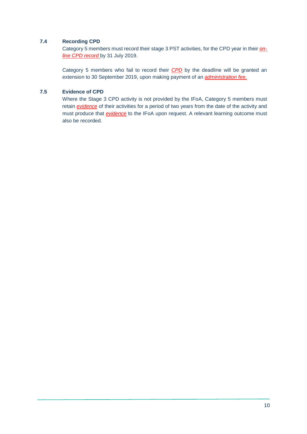#### **7.4 Recording CPD**

Category 5 members must record their stage 3 PST activities, for the CPD year in their *[on](#page-18-5)[line CPD record](#page-18-5)* by 31 July 2019.

Category 5 members who fail to record their *[CPD](#page-18-0)* by the deadline will be granted an extension to 30 September 2019, upon making payment of an *[administration fee](#page-18-10).*

#### **7.5 Evidence of CPD**

Where the Stage 3 CPD activity is not provided by the IFoA, Category 5 members must retain *[evidence](#page-18-9)* of their activities for a period of two years from the date of the activity and must produce that *[evidence](#page-18-9)* to the IFoA upon request. A relevant learning outcome must also be recorded.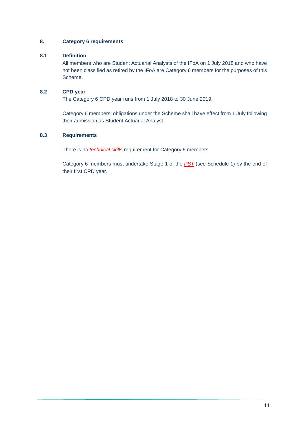#### **8. Category 6 requirements**

## **8.1 Definition**

All members who are Student Actuarial Analysts of the IFoA on 1 July 2018 and who have not been classified as retired by the IFoA are Category 6 members for the purposes of this Scheme.

#### **8.2 CPD year**

The Category 6 CPD year runs from 1 July 2018 to 30 June 2019.

Category 6 members' obligations under the Scheme shall have effect from 1 July following their admission as Student Actuarial Analyst.

## **8.3 Requirements**

There is no *[technical skills](#page-19-2)* requirement for Category 6 members.

Category 6 members must undertake Stage 1 of the *[PST](#page-18-7)* (see Schedule 1) by the end of their first CPD year.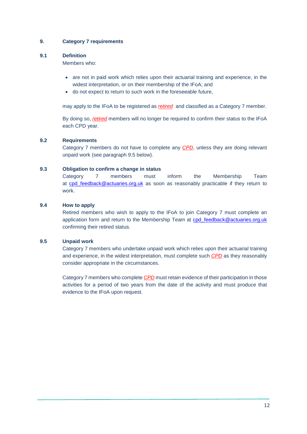### **9. Category 7 requirements**

#### **9.1 Definition**

Members who:

- are not in paid work which relies upon their actuarial training and experience, in the widest interpretation, or on their membership of the IFoA; and
- do not expect to return to such work in the foreseeable future,

may apply to the IFoA to be registered as *[retired](#page-19-0)* and classified as a Category 7 member.

By doing so, *[retired](#page-19-0)* members will no longer be required to confirm their status to the IFoA each CPD year.

#### **9.2 Requirements**

Category 7 members do not have to complete any *[CPD](#page-18-0)*, unless they are doing relevant unpaid work (see paragraph 9.5 below).

#### **9.3 Obligation to confirm a change in status**

Category 7 members must inform the Membership Team at cpd feedback@actuaries.org.uk as soon as reasonably practicable if they return to work.

#### **9.4 How to apply**

Retired members who wish to apply to the IFoA to join Category 7 must complete an application form and return to the Membership Team at [cpd\\_feedback@actuaries.org.uk](mailto:cpd_feedback@actuaries.org.uk?subject=Request%20for%20Retired%20classification) confirming their retired status.

#### **9.5 Unpaid work**

Category 7 members who undertake unpaid work which relies upon their actuarial training and experience, in the widest interpretation, must complete such *[CPD](#page-18-0)* as they reasonably consider appropriate in the circumstances.

Category 7 members who complete *[CPD](#page-18-0)* must retain evidence of their participation in those activities for a period of two years from the date of the activity and must produce that evidence to the IFoA upon request.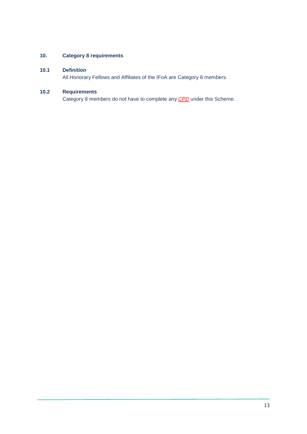# **10. Category 8 requirements**

# **10.1 Definition**

All Honorary Fellows and Affiliates of the IFoA are Category 8 members.

## **10.2 Requirements**

Category 8 members do not have to complete any *[CPD](#page-18-0)* under this Scheme.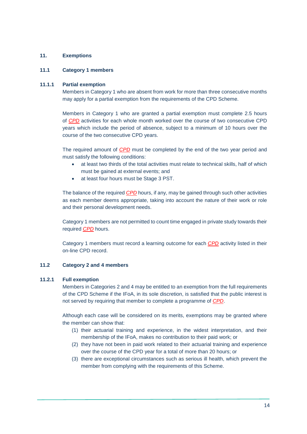#### **11. Exemptions**

#### **11.1 Category 1 members**

#### **11.1.1 Partial exemption**

Members in Category 1 who are absent from work for more than three consecutive months may apply for a partial exemption from the requirements of the CPD Scheme.

Members in Category 1 who are granted a partial exemption must complete 2.5 hours of *[CPD](#page-18-0)* activities for each whole month worked over the course of two consecutive CPD years which include the period of absence, subject to a minimum of 10 hours over the course of the two consecutive CPD years.

The required amount of *[CPD](#page-18-0)* must be completed by the end of the two year period and must satisfy the following conditions:

- at least two thirds of the total activities must relate to technical skills, half of which must be gained at external events; and
- at least four hours must be Stage 3 PST.

The balance of the required *[CPD](#page-18-0)* hours, if any, may be gained through such other activities as each member deems appropriate, taking into account the nature of their work or role and their personal development needs.

Category 1 members are not permitted to count time engaged in private study towards their required *[CPD](#page-18-0)* hours.

Category 1 members must record a learning outcome for each *[CPD](#page-18-0)* activity listed in their on-line CPD record.

### **11.2 Category 2 and 4 members**

#### **11.2.1 Full exemption**

Members in Categories 2 and 4 may be entitled to an exemption from the full requirements of the CPD Scheme if the IFoA, in its sole discretion, is satisfied that the public interest is not served by requiring that member to complete a programme of *[CPD](#page-18-0)*.

Although each case will be considered on its merits, exemptions may be granted where the member can show that:

- (1) their actuarial training and experience, in the widest interpretation, and their membership of the IFoA, makes no contribution to their paid work; or
- (2) they have not been in paid work related to their actuarial training and experience over the course of the CPD year for a total of more than 20 hours; or
- (3) there are exceptional circumstances such as serious ill health, which prevent the member from complying with the requirements of this Scheme.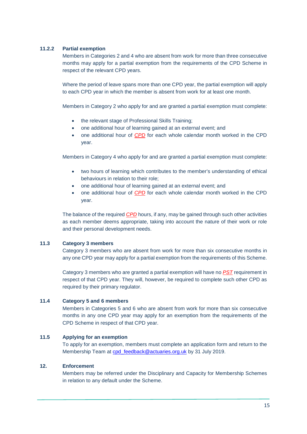#### **11.2.2 Partial exemption**

Members in Categories 2 and 4 who are absent from work for more than three consecutive months may apply for a partial exemption from the requirements of the CPD Scheme in respect of the relevant CPD years.

Where the period of leave spans more than one CPD year, the partial exemption will apply to each CPD year in which the member is absent from work for at least one month.

Members in Category 2 who apply for and are granted a partial exemption must complete:

- the relevant stage of Professional Skills Training;
- one additional hour of learning gained at an external event; and
- one additional hour of *[CPD](#page-18-0)* for each whole calendar month worked in the CPD year.

Members in Category 4 who apply for and are granted a partial exemption must complete:

- two hours of learning which contributes to the member's understanding of ethical behaviours in relation to their role;
- one additional hour of learning gained at an external event; and
- one additional hour of *[CPD](#page-18-0)* for each whole calendar month worked in the CPD year.

The balance of the required *[CPD](#page-18-0)* hours, if any, may be gained through such other activities as each member deems appropriate, taking into account the nature of their work or role and their personal development needs.

### **11.3 Category 3 members**

Category 3 members who are absent from work for more than six consecutive months in any one CPD year may apply for a partial exemption from the requirements of this Scheme.

Category 3 members who are granted a partial exemption will have no *[PST](#page-18-7)* requirement in respect of that CPD year. They will, however, be required to complete such other CPD as required by their primary regulator.

#### **11.4 Category 5 and 6 members**

Members in Categories 5 and 6 who are absent from work for more than six consecutive months in any one CPD year may apply for an exemption from the requirements of the CPD Scheme in respect of that CPD year.

#### **11.5 Applying for an exemption**

To apply for an exemption, members must complete an application form and return to the Membership Team at cpd feedback@actuaries.org.uk by 31 July 2019.

#### **12. Enforcement**

Members may be referred under the Disciplinary and Capacity for Membership Schemes in relation to any default under the Scheme.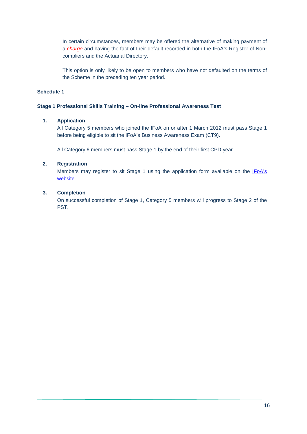In certain circumstances, members may be offered the alternative of making payment of a *[charge](#page-18-11)* and having the fact of their default recorded in both the IFoA's Register of Noncompliers and the Actuarial Directory.

This option is only likely to be open to members who have not defaulted on the terms of the Scheme in the preceding ten year period.

#### **Schedule 1**

#### **Stage 1 Professional Skills Training – On-line Professional Awareness Test**

#### **1. Application**

All Category 5 members who joined the IFoA on or after 1 March 2012 must pass Stage 1 before being eligible to sit the IFoA's Business Awareness Exam (CT9).

All Category 6 members must pass Stage 1 by the end of their first CPD year.

#### **2. Registration**

Members may register to sit Stage 1 using the application form available on the IFoA's [website.](https://www.actuaries.org.uk/documents/application-form-online-professional-awareness-test)

#### **3. Completion**

On successful completion of Stage 1, Category 5 members will progress to Stage 2 of the **PST**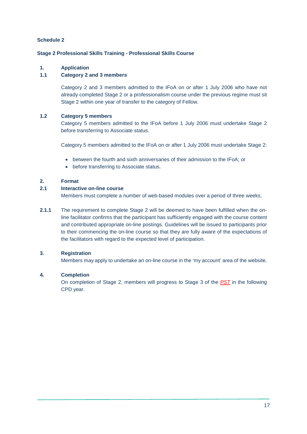#### **Stage 2 Professional Skills Training - Professional Skills Course**

#### **1. Application**

#### **1.1 Category 2 and 3 members**

Category 2 and 3 members admitted to the IFoA on or after 1 July 2006 who have not already completed Stage 2 or a professionalism course under the previous regime must sit Stage 2 within one year of transfer to the category of Fellow.

#### **1.2 Category 5 members**

Category 5 members admitted to the IFoA before 1 July 2006 must undertake Stage 2 before transferring to Associate status.

Category 5 members admitted to the IFoA on or after 1 July 2006 must undertake Stage 2:

- between the fourth and sixth anniversaries of their admission to the IFoA; or
- before transferring to Associate status.

#### **2. Format**

#### **2.1 Interactive on-line course**

Members must complete a number of web-based modules over a period of three weeks.

**2.1.1** The requirement to complete Stage 2 will be deemed to have been fulfilled when the online facilitator confirms that the participant has sufficiently engaged with the course content and contributed appropriate on-line postings. Guidelines will be issued to participants prior to their commencing the on-line course so that they are fully aware of the expectations of the facilitators with regard to the expected level of participation.

#### **3. Registration**

Members may apply to undertake an on-line course in the 'my account' area of the website.

#### **4. Completion**

On completion of Stage 2, members will progress to Stage 3 of the *[PST](#page-18-7)* in the following CPD year.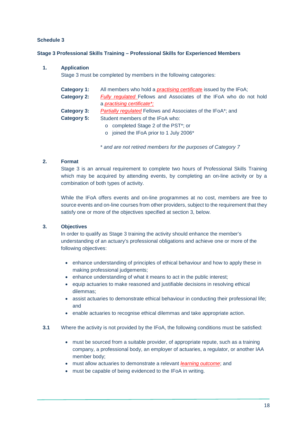#### **Stage 3 Professional Skills Training – Professional Skills for Experienced Members**

#### **1. Application**

Stage 3 must be completed by members in the following categories:

| <b>Category 1:</b> | All members who hold a <i>practising certificate</i> issued by the IFoA;  |
|--------------------|---------------------------------------------------------------------------|
| <b>Category 2:</b> | <b>Fully regulated Fellows and Associates of the IFoA who do not hold</b> |
|                    | a <i>practising certificate</i> <sup>*</sup> ;                            |
| <b>Category 3:</b> | Partially regulated Fellows and Associates of the IFoA*; and              |
| <b>Category 5:</b> | Student members of the IFoA who:                                          |
|                    | completed Stage 2 of the PST <sup>*</sup> ; or<br>$\circ$                 |
|                    | joined the IFoA prior to 1 July 2006*<br>$\circ$                          |

\* *and are not retired members for the purposes of Category 7*

#### **2. Format**

Stage 3 is an annual requirement to complete two hours of Professional Skills Training which may be acquired by attending events, by completing an on-line activity or by a combination of both types of activity.

While the IFoA offers events and on-line programmes at no cost, members are free to source events and on-line courses from other providers, subject to the requirement that they satisfy one or more of the objectives specified at section 3, below.

#### **3. Objectives**

In order to qualify as Stage 3 training the activity should enhance the member's understanding of an actuary's professional obligations and achieve one or more of the following objectives:

- enhance understanding of principles of ethical behaviour and how to apply these in making professional judgements;
- enhance understanding of what it means to act in the public interest;
- equip actuaries to make reasoned and justifiable decisions in resolving ethical dilemmas;
- assist actuaries to demonstrate ethical behaviour in conducting their professional life; and
- enable actuaries to recognise ethical dilemmas and take appropriate action.
- **3.1** Where the activity is not provided by the IFoA, the following conditions must be satisfied:
	- must be sourced from a suitable provider, of appropriate repute, such as a training company, a professional body, an employer of actuaries, a regulator, or another IAA member body;
	- must allow actuaries to demonstrate a relevant *[learning outcome](#page-18-8)*; and
	- must be capable of being evidenced to the IFoA in writing.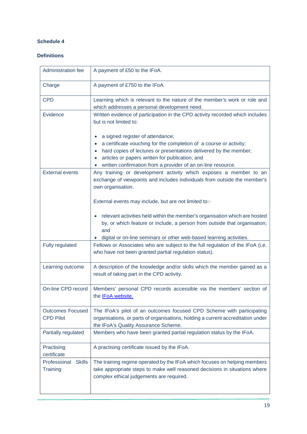#### **Definitions**

<span id="page-18-11"></span><span id="page-18-10"></span><span id="page-18-9"></span><span id="page-18-8"></span><span id="page-18-7"></span><span id="page-18-6"></span><span id="page-18-5"></span><span id="page-18-4"></span><span id="page-18-3"></span><span id="page-18-2"></span><span id="page-18-1"></span><span id="page-18-0"></span>

| Administration fee                          | A payment of £50 to the IFoA.                                                                                                                                                                                                                                                                                            |
|---------------------------------------------|--------------------------------------------------------------------------------------------------------------------------------------------------------------------------------------------------------------------------------------------------------------------------------------------------------------------------|
| Charge                                      | A payment of £750 to the IFoA.                                                                                                                                                                                                                                                                                           |
| <b>CPD</b>                                  | Learning which is relevant to the nature of the member's work or role and<br>which addresses a personal development need.                                                                                                                                                                                                |
| Evidence                                    | Written evidence of participation in the CPD activity recorded which includes<br>but is not limited to:                                                                                                                                                                                                                  |
|                                             | a signed register of attendance;<br>$\bullet$<br>a certificate vouching for the completion of a course or activity;<br>hard copies of lectures or presentations delivered by the member;<br>$\bullet$<br>articles or papers written for publication; and<br>written confirmation from a provider of an on-line resource. |
| <b>External events</b>                      | Any training or development activity which exposes a member to an<br>exchange of viewpoints and includes individuals from outside the member's<br>own organisation.                                                                                                                                                      |
|                                             | External events may include, but are not limited to:-                                                                                                                                                                                                                                                                    |
|                                             | relevant activities held within the member's organisation which are hosted<br>by, or which feature or include, a person from outside that organisation;<br>and<br>digital or on-line seminars or other web-based learning activities.                                                                                    |
| Fully regulated                             | Fellows or Associates who are subject to the full regulation of the IFoA (i.e.<br>who have not been granted partial regulation status).                                                                                                                                                                                  |
| Learning outcome                            | A description of the knowledge and/or skills which the member gained as a<br>result of taking part in the CPD activity.                                                                                                                                                                                                  |
| On-line CPD record                          | Members' personal CPD records accessible via the members' section of<br>the IFoA website.                                                                                                                                                                                                                                |
| <b>Outcomes Focused</b><br><b>CPD Pilot</b> | The IFoA's pilot of an outcomes focused CPD Scheme with participating<br>organisations, or parts of organisations, holding a current accreditation under<br>the IFoA's Quality Assurance Scheme.                                                                                                                         |
| Partially regulated                         | Members who have been granted partial regulation status by the IFoA.                                                                                                                                                                                                                                                     |
| Practising<br>certificate                   | A practising certificate issued by the IFoA.                                                                                                                                                                                                                                                                             |
| Professional<br><b>Skills</b><br>Training   | The training regime operated by the IFoA which focuses on helping members<br>take appropriate steps to make well reasoned decisions in situations where<br>complex ethical judgements are required.                                                                                                                      |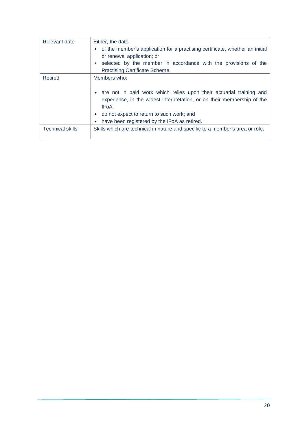<span id="page-19-2"></span><span id="page-19-1"></span><span id="page-19-0"></span>

| Relevant date           | Either, the date:<br>of the member's application for a practising certificate, whether an initial<br>or renewal application; or<br>selected by the member in accordance with the provisions of the<br><b>Practising Certificate Scheme.</b>                            |
|-------------------------|------------------------------------------------------------------------------------------------------------------------------------------------------------------------------------------------------------------------------------------------------------------------|
| Retired                 | Members who:<br>• are not in paid work which relies upon their actuarial training and<br>experience, in the widest interpretation, or on their membership of the<br>IFoA:<br>do not expect to return to such work; and<br>have been registered by the IFoA as retired. |
| <b>Technical skills</b> | Skills which are technical in nature and specific to a member's area or role.                                                                                                                                                                                          |